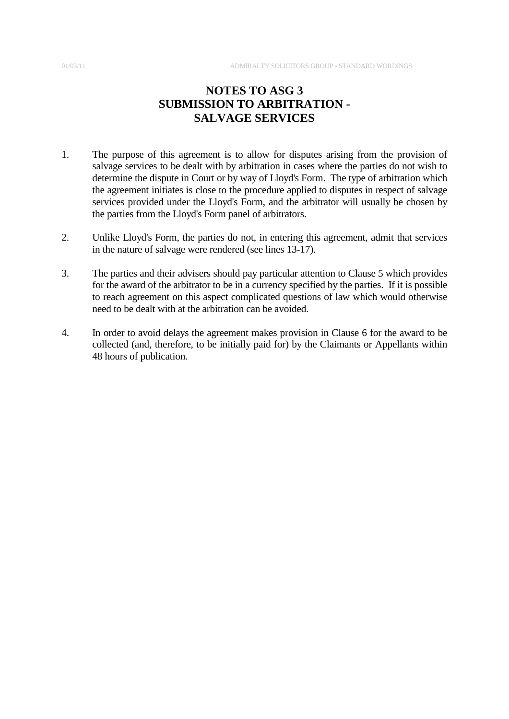# **NOTES TO ASG 3 SUBMISSION TO ARBITRATION - SALVAGE SERVICES**

- 1. The purpose of this agreement is to allow for disputes arising from the provision of salvage services to be dealt with by arbitration in cases where the parties do not wish to determine the dispute in Court or by way of Lloyd's Form. The type of arbitration which the agreement initiates is close to the procedure applied to disputes in respect of salvage services provided under the Lloyd's Form, and the arbitrator will usually be chosen by the parties from the Lloyd's Form panel of arbitrators.
- 2. Unlike Lloyd's Form, the parties do not, in entering this agreement, admit that services in the nature of salvage were rendered (see lines 13-17).
- 3. The parties and their advisers should pay particular attention to Clause 5 which provides for the award of the arbitrator to be in a currency specified by the parties. If it is possible to reach agreement on this aspect complicated questions of law which would otherwise need to be dealt with at the arbitration can be avoided.
- 4. In order to avoid delays the agreement makes provision in Clause 6 for the award to be collected (and, therefore, to be initially paid for) by the Claimants or Appellants within 48 hours of publication.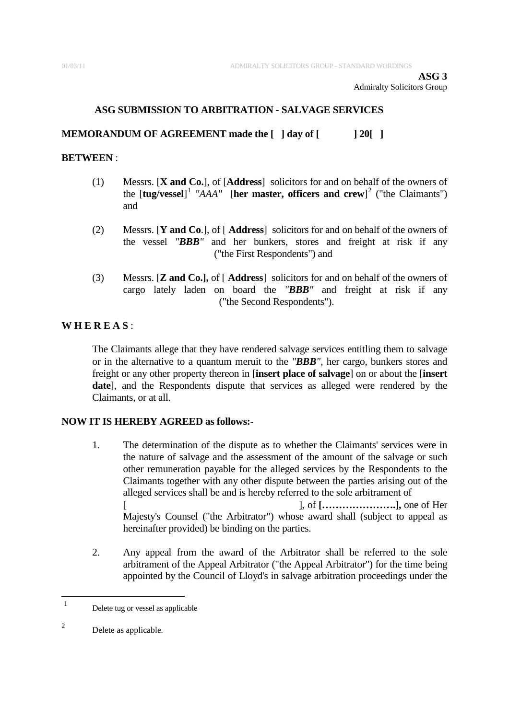## **ASG SUBMISSION TO ARBITRATION - SALVAGE SERVICES**

### **MEMORANDUM OF AGREEMENT made the [ ] day of [ ] 20[ ]**

#### **BETWEEN** :

- (1) Messrs. [**X and Co.**], of [**Address**] solicitors for and on behalf of the owners of the [**tug/vessel**] [1](#page-1-0) *"AAA"* [**her master, officers and crew**] [2](#page-1-1) ("the Claimants") and
- (2) Messrs. [**Y and Co**.], of [ **Address**] solicitors for and on behalf of the owners of the vessel *"BBB"* and her bunkers, stores and freight at risk if any ("the First Respondents") and
- (3) Messrs. [**Z and Co.],** of [ **Address**] solicitors for and on behalf of the owners of cargo lately laden on board the *"BBB"* and freight at risk if any ("the Second Respondents").

## **W H E R E A S** :

The Claimants allege that they have rendered salvage services entitling them to salvage or in the alternative to a quantum meruit to the *"BBB"*, her cargo, bunkers stores and freight or any other property thereon in [**insert place of salvage**] on or about the [**insert date**], and the Respondents dispute that services as alleged were rendered by the Claimants, or at all.

## **NOW IT IS HEREBY AGREED as follows:-**

- 1. The determination of the dispute as to whether the Claimants' services were in the nature of salvage and the assessment of the amount of the salvage or such other remuneration payable for the alleged services by the Respondents to the Claimants together with any other dispute between the parties arising out of the alleged services shall be and is hereby referred to the sole arbitrament of [ ], of **[………………….],** one of Her Majesty's Counsel ("the Arbitrator") whose award shall (subject to appeal as hereinafter provided) be binding on the parties.
- 2. Any appeal from the award of the Arbitrator shall be referred to the sole arbitrament of the Appeal Arbitrator ("the Appeal Arbitrator") for the time being appointed by the Council of Lloyd's in salvage arbitration proceedings under the

<span id="page-1-0"></span> $\overline{1}$ Delete tug or vessel as applicable

<span id="page-1-1"></span><sup>2</sup> Delete as applicable.